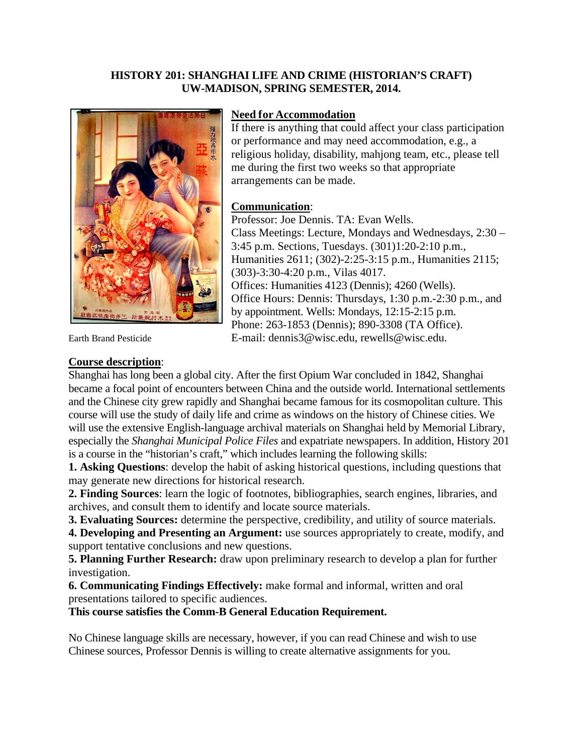## **HISTORY 201: SHANGHAI LIFE AND CRIME (HISTORIAN'S CRAFT) UW-MADISON, SPRING SEMESTER, 2014.**



#### **Need for Accommodation**

If there is anything that could affect your class participation or performance and may need accommodation, e.g., a religious holiday, disability, mahjong team, etc., please tell me during the first two weeks so that appropriate arrangements can be made.

#### **Communication**:

Professor: Joe Dennis. TA: Evan Wells. Class Meetings: Lecture, Mondays and Wednesdays, 2:30 – 3:45 p.m. Sections, Tuesdays. (301)1:20-2:10 p.m., Humanities 2611; (302)-2:25-3:15 p.m., Humanities 2115; (303)-3:30-4:20 p.m., Vilas 4017. Offices: Humanities 4123 (Dennis); 4260 (Wells). Office Hours: Dennis: Thursdays, 1:30 p.m.-2:30 p.m., and by appointment. Wells: Mondays, 12:15-2:15 p.m. Phone: 263-1853 (Dennis); 890-3308 (TA Office). Earth Brand Pesticide E-mail: [dennis3@wisc.edu,](mailto:dennis3@wisc.edu) rewells@wisc.edu.

#### **Course description**:

Shanghai has long been a global city. After the first Opium War concluded in 1842, Shanghai became a focal point of encounters between China and the outside world. International settlements and the Chinese city grew rapidly and Shanghai became famous for its cosmopolitan culture. This course will use the study of daily life and crime as windows on the history of Chinese cities. We will use the extensive English-language archival materials on Shanghai held by Memorial Library, especially the *Shanghai Municipal Police Files* and expatriate newspapers. In addition, History 201 is a course in the "historian's craft," which includes learning the following skills:

**1. Asking Questions**: develop the habit of asking historical questions, including questions that may generate new directions for historical research.

**2. Finding Sources**: learn the logic of footnotes, bibliographies, search engines, libraries, and archives, and consult them to identify and locate source materials.

**3. Evaluating Sources:** determine the perspective, credibility, and utility of source materials.

**4. Developing and Presenting an Argument:** use sources appropriately to create, modify, and support tentative conclusions and new questions.

**5. Planning Further Research:** draw upon preliminary research to develop a plan for further investigation.

**6. Communicating Findings Effectively:** make formal and informal, written and oral presentations tailored to specific audiences.

**This course satisfies the Comm-B General Education Requirement.**

No Chinese language skills are necessary, however, if you can read Chinese and wish to use Chinese sources, Professor Dennis is willing to create alternative assignments for you.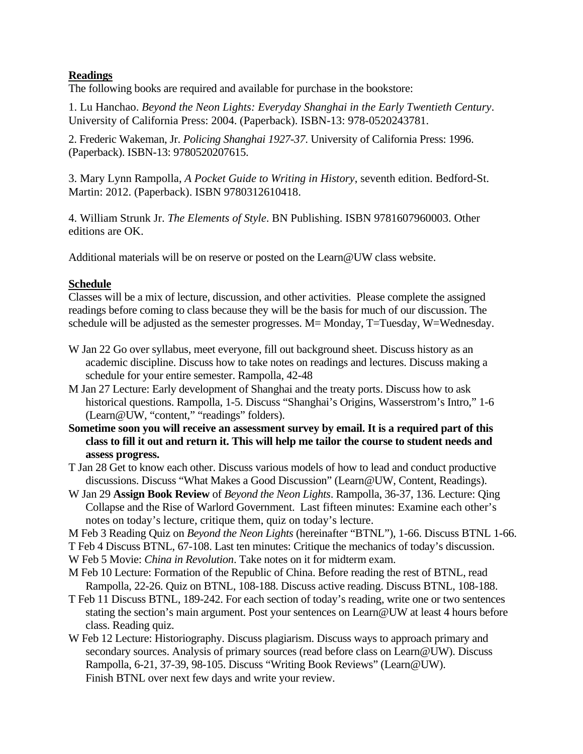# **Readings**

The following books are required and available for purchase in the bookstore:

1. Lu Hanchao. *Beyond the Neon Lights: Everyday Shanghai in the Early Twentieth Century*. University of California Press: 2004. (Paperback). ISBN-13: 978-0520243781.

2. Frederic Wakeman, Jr. *Policing Shanghai 1927-37*. University of California Press: 1996. (Paperback). ISBN-13: 9780520207615.

3. Mary Lynn Rampolla, *A Pocket Guide to Writing in History*, seventh edition. Bedford-St. Martin: 2012. (Paperback). ISBN 9780312610418.

4. William Strunk Jr. *The Elements of Style*. BN Publishing. ISBN 9781607960003. Other editions are OK.

Additional materials will be on reserve or posted on the Learn@UW class website.

### **Schedule**

Classes will be a mix of lecture, discussion, and other activities. Please complete the assigned readings before coming to class because they will be the basis for much of our discussion. The schedule will be adjusted as the semester progresses. M= Monday, T=Tuesday, W=Wednesday.

- W Jan 22 Go over syllabus, meet everyone, fill out background sheet. Discuss history as an academic discipline. Discuss how to take notes on readings and lectures. Discuss making a schedule for your entire semester. Rampolla, 42-48
- M Jan 27 Lecture: Early development of Shanghai and the treaty ports. Discuss how to ask historical questions. Rampolla, 1-5. Discuss "Shanghai's Origins, Wasserstrom's Intro," 1-6 (Learn@UW, "content," "readings" folders).
- **Sometime soon you will receive an assessment survey by email. It is a required part of this class to fill it out and return it. This will help me tailor the course to student needs and assess progress.**
- T Jan 28 Get to know each other. Discuss various models of how to lead and conduct productive discussions. Discuss "What Makes a Good Discussion" (Learn@UW, Content, Readings).
- W Jan 29 **Assign Book Review** of *Beyond the Neon Lights*. Rampolla, 36-37, 136. Lecture: Qing Collapse and the Rise of Warlord Government. Last fifteen minutes: Examine each other's notes on today's lecture, critique them, quiz on today's lecture.

M Feb 3 Reading Quiz on *Beyond the Neon Lights* (hereinafter "BTNL"), 1-66. Discuss BTNL 1-66.

T Feb 4 Discuss BTNL, 67-108. Last ten minutes: Critique the mechanics of today's discussion.

W Feb 5 Movie: *China in Revolution*. Take notes on it for midterm exam.

- M Feb 10 Lecture: Formation of the Republic of China. Before reading the rest of BTNL, read Rampolla, 22-26. Quiz on BTNL, 108-188. Discuss active reading. Discuss BTNL, 108-188.
- T Feb 11 Discuss BTNL, 189-242. For each section of today's reading, write one or two sentences stating the section's main argument. Post your sentences on Learn@UW at least 4 hours before class. Reading quiz.
- W Feb 12 Lecture: Historiography. Discuss plagiarism. Discuss ways to approach primary and secondary sources. Analysis of primary sources (read before class on Learn@UW). Discuss Rampolla, 6-21, 37-39, 98-105. Discuss "Writing Book Reviews" (Learn@UW). Finish BTNL over next few days and write your review.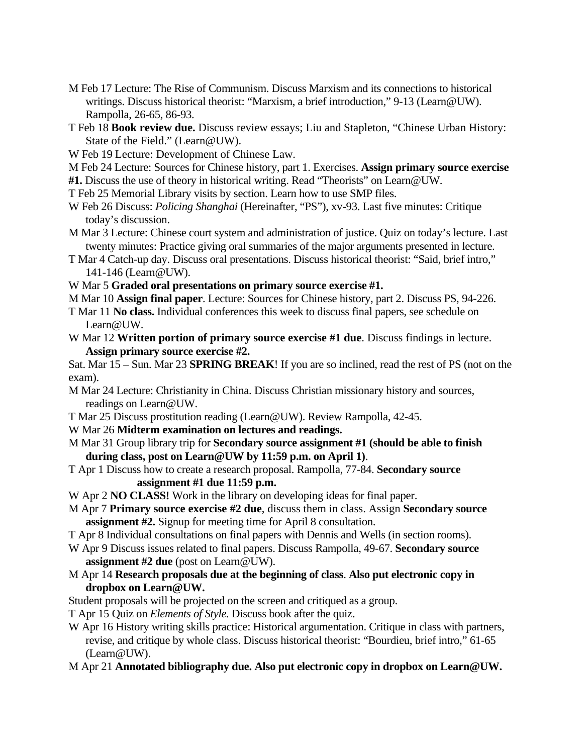- M Feb 17 Lecture: The Rise of Communism. Discuss Marxism and its connections to historical writings. Discuss historical theorist: "Marxism, a brief introduction," 9-13 (Learn@UW). Rampolla, 26-65, 86-93.
- T Feb 18 **Book review due.** Discuss review essays; Liu and Stapleton, "Chinese Urban History: State of the Field." (Learn@UW).
- W Feb 19 Lecture: Development of Chinese Law.
- M Feb 24 Lecture: Sources for Chinese history, part 1. Exercises. **Assign primary source exercise**
- **#1.** Discuss the use of theory in historical writing. Read "Theorists" on Learn@UW.
- T Feb 25 Memorial Library visits by section. Learn how to use SMP files.
- W Feb 26 Discuss: *Policing Shanghai* (Hereinafter, "PS"), xv-93. Last five minutes: Critique today's discussion.
- M Mar 3 Lecture: Chinese court system and administration of justice. Quiz on today's lecture. Last twenty minutes: Practice giving oral summaries of the major arguments presented in lecture.
- T Mar 4 Catch-up day. Discuss oral presentations. Discuss historical theorist: "Said, brief intro," 141-146 (Learn@UW).
- W Mar 5 **Graded oral presentations on primary source exercise #1.**
- M Mar 10 **Assign final paper**. Lecture: Sources for Chinese history, part 2. Discuss PS, 94-226.
- T Mar 11 **No class.** Individual conferences this week to discuss final papers, see schedule on Learn@UW.
- W Mar 12 **Written portion of primary source exercise #1 due**. Discuss findings in lecture. **Assign primary source exercise #2.**

Sat. Mar 15 – Sun. Mar 23 **SPRING BREAK**! If you are so inclined, read the rest of PS (not on the exam).

- M Mar 24 Lecture: Christianity in China. Discuss Christian missionary history and sources, readings on Learn@UW.
- T Mar 25 Discuss prostitution reading (Learn@UW). Review Rampolla, 42-45.
- W Mar 26 **Midterm examination on lectures and readings.**
- M Mar 31 Group library trip for **Secondary source assignment #1 (should be able to finish during class, post on Learn@UW by 11:59 p.m. on April 1)**.
- T Apr 1 Discuss how to create a research proposal. Rampolla, 77-84. **Secondary source assignment #1 due 11:59 p.m.**
- W Apr 2 **NO CLASS!** Work in the library on developing ideas for final paper.
- M Apr 7 **Primary source exercise #2 due**, discuss them in class. Assign **Secondary source assignment #2.** Signup for meeting time for April 8 consultation.
- T Apr 8 Individual consultations on final papers with Dennis and Wells (in section rooms).
- W Apr 9 Discuss issues related to final papers. Discuss Rampolla, 49-67. **Secondary source assignment #2 due** (post on Learn@UW).
- M Apr 14 **Research proposals due at the beginning of class**. **Also put electronic copy in dropbox on Learn@UW.**
- Student proposals will be projected on the screen and critiqued as a group.
- T Apr 15 Quiz on *Elements of Style.* Discuss book after the quiz.
- W Apr 16 History writing skills practice: Historical argumentation. Critique in class with partners, revise, and critique by whole class. Discuss historical theorist: "Bourdieu, brief intro," 61-65 (Learn@UW).
- M Apr 21 **Annotated bibliography due. Also put electronic copy in dropbox on Learn@UW.**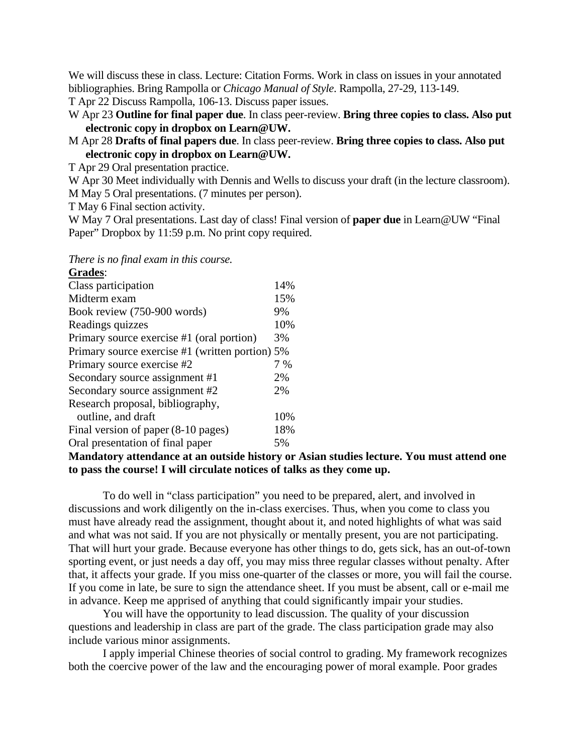We will discuss these in class. Lecture: Citation Forms. Work in class on issues in your annotated bibliographies. Bring Rampolla or *Chicago Manual of Style*. Rampolla, 27-29, 113-149.

T Apr 22 Discuss Rampolla, 106-13. Discuss paper issues.

W Apr 23 **Outline for final paper due**. In class peer-review. **Bring three copies to class. Also put electronic copy in dropbox on Learn@UW.**

M Apr 28 **Drafts of final papers due**. In class peer-review. **Bring three copies to class. Also put electronic copy in dropbox on Learn@UW.**

T Apr 29 Oral presentation practice.

W Apr 30 Meet individually with Dennis and Wells to discuss your draft (in the lecture classroom). M May 5 Oral presentations. (7 minutes per person).

T May 6 Final section activity.

W May 7 Oral presentations. Last day of class! Final version of **paper due** in Learn@UW "Final Paper" Dropbox by 11:59 p.m. No print copy required.

*There is no final exam in this course.*

| Grades:                                         |     |
|-------------------------------------------------|-----|
| Class participation                             | 14% |
| Midterm exam                                    | 15% |
| Book review (750-900 words)                     | 9%  |
| Readings quizzes                                | 10% |
| Primary source exercise #1 (oral portion)       | 3%  |
| Primary source exercise #1 (written portion) 5% |     |
| Primary source exercise #2                      | 7%  |
| Secondary source assignment #1                  | 2%  |
| Secondary source assignment #2                  | 2%  |
| Research proposal, bibliography,                |     |
| outline, and draft                              | 10% |
| Final version of paper (8-10 pages)             | 18% |
| Oral presentation of final paper                | 5%  |
|                                                 |     |

## **Mandatory attendance at an outside history or Asian studies lecture. You must attend one to pass the course! I will circulate notices of talks as they come up.**

To do well in "class participation" you need to be prepared, alert, and involved in discussions and work diligently on the in-class exercises. Thus, when you come to class you must have already read the assignment, thought about it, and noted highlights of what was said and what was not said. If you are not physically or mentally present, you are not participating. That will hurt your grade. Because everyone has other things to do, gets sick, has an out-of-town sporting event, or just needs a day off, you may miss three regular classes without penalty. After that, it affects your grade. If you miss one-quarter of the classes or more, you will fail the course. If you come in late, be sure to sign the attendance sheet. If you must be absent, call or e-mail me in advance. Keep me apprised of anything that could significantly impair your studies.

You will have the opportunity to lead discussion. The quality of your discussion questions and leadership in class are part of the grade. The class participation grade may also include various minor assignments.

I apply imperial Chinese theories of social control to grading. My framework recognizes both the coercive power of the law and the encouraging power of moral example. Poor grades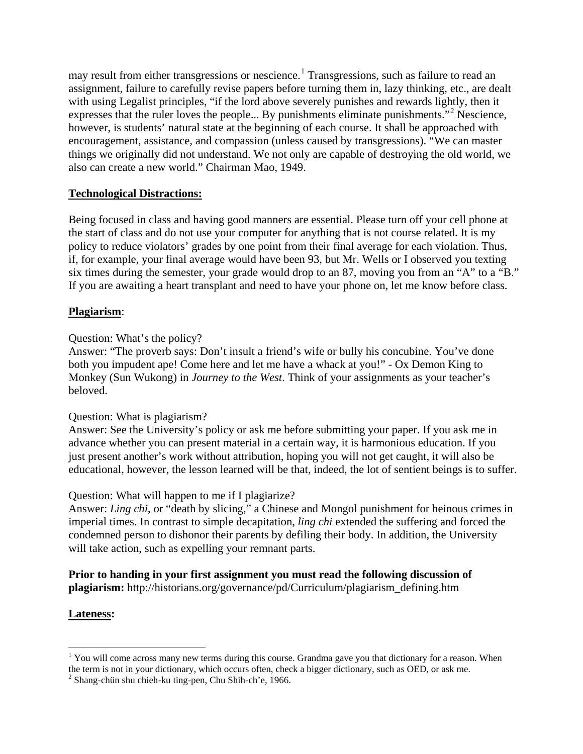may result from either transgressions or nescience.<sup>[1](#page-4-0)</sup> Transgressions, such as failure to read an assignment, failure to carefully revise papers before turning them in, lazy thinking, etc., are dealt with using Legalist principles, "if the lord above severely punishes and rewards lightly, then it expresses that the ruler loves the people... By punishments eliminate punishments."<sup>[2](#page-4-1)</sup> Nescience, however, is students' natural state at the beginning of each course. It shall be approached with encouragement, assistance, and compassion (unless caused by transgressions). "We can master things we originally did not understand. We not only are capable of destroying the old world, we also can create a new world." Chairman Mao, 1949.

## **Technological Distractions:**

Being focused in class and having good manners are essential. Please turn off your cell phone at the start of class and do not use your computer for anything that is not course related. It is my policy to reduce violators' grades by one point from their final average for each violation. Thus, if, for example, your final average would have been 93, but Mr. Wells or I observed you texting six times during the semester, your grade would drop to an 87, moving you from an "A" to a "B." If you are awaiting a heart transplant and need to have your phone on, let me know before class.

### **Plagiarism**:

## Question: What's the policy?

Answer: "The proverb says: Don't insult a friend's wife or bully his concubine. You've done both you impudent ape! Come here and let me have a whack at you!" - Ox Demon King to Monkey (Sun Wukong) in *Journey to the West*. Think of your assignments as your teacher's beloved.

### Question: What is plagiarism?

Answer: See the University's policy or ask me before submitting your paper. If you ask me in advance whether you can present material in a certain way, it is harmonious education. If you just present another's work without attribution, hoping you will not get caught, it will also be educational, however, the lesson learned will be that, indeed, the lot of sentient beings is to suffer.

# Question: What will happen to me if I plagiarize?

Answer: *Ling chi*, or "death by slicing," a Chinese and Mongol punishment for heinous crimes in imperial times. In contrast to simple decapitation, *ling chi* extended the suffering and forced the condemned person to dishonor their parents by defiling their body. In addition, the University will take action, such as expelling your remnant parts.

**Prior to handing in your first assignment you must read the following discussion of plagiarism:** http://historians.org/governance/pd/Curriculum/plagiarism\_defining.htm

### **Lateness:**

<span id="page-4-0"></span><sup>&</sup>lt;sup>1</sup> You will come across many new terms during this course. Grandma gave you that dictionary for a reason. When the term is not in your dictionary, which occurs often, check a bigger dictionary, such as OED, or ask me.

<span id="page-4-1"></span><sup>2</sup> Shang-chün shu chieh-ku ting-pen, Chu Shih-ch'e, 1966.